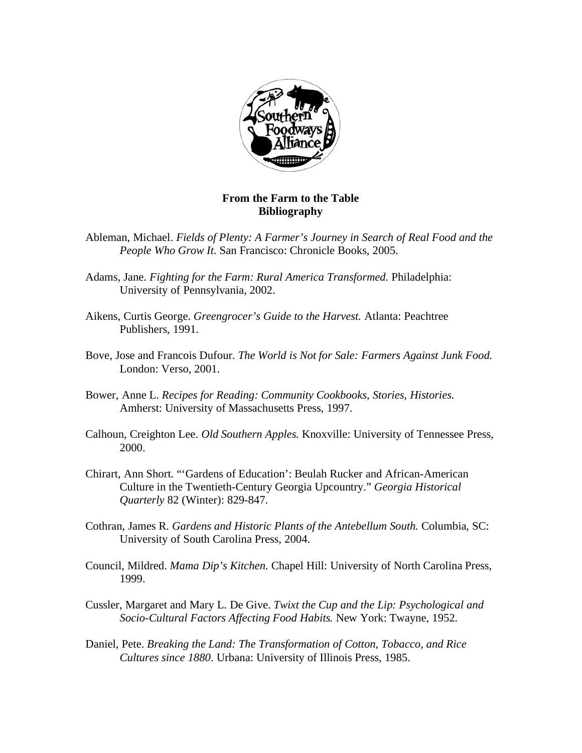

## **From the Farm to the Table Bibliography**

- Ableman, Michael. *Fields of Plenty: A Farmer's Journey in Search of Real Food and the People Who Grow It.* San Francisco: Chronicle Books, 2005.
- Adams, Jane. *Fighting for the Farm: Rural America Transformed.* Philadelphia: University of Pennsylvania, 2002.
- Aikens, Curtis George. *Greengrocer's Guide to the Harvest.* Atlanta: Peachtree Publishers, 1991.
- Bove, Jose and Francois Dufour. *The World is Not for Sale: Farmers Against Junk Food.*  London: Verso, 2001.
- Bower, Anne L. *Recipes for Reading: Community Cookbooks, Stories, Histories.*  Amherst: University of Massachusetts Press, 1997.
- Calhoun, Creighton Lee. *Old Southern Apples.* Knoxville: University of Tennessee Press, 2000.
- Chirart, Ann Short. "'Gardens of Education': Beulah Rucker and African-American Culture in the Twentieth-Century Georgia Upcountry." *Georgia Historical Quarterly* 82 (Winter): 829-847.
- Cothran, James R. *Gardens and Historic Plants of the Antebellum South.* Columbia, SC: University of South Carolina Press, 2004.
- Council, Mildred. *Mama Dip's Kitchen.* Chapel Hill: University of North Carolina Press, 1999.
- Cussler, Margaret and Mary L. De Give. *Twixt the Cup and the Lip: Psychological and Socio-Cultural Factors Affecting Food Habits.* New York: Twayne, 1952.
- Daniel, Pete. *Breaking the Land: The Transformation of Cotton, Tobacco, and Rice Cultures since 1880*. Urbana: University of Illinois Press, 1985.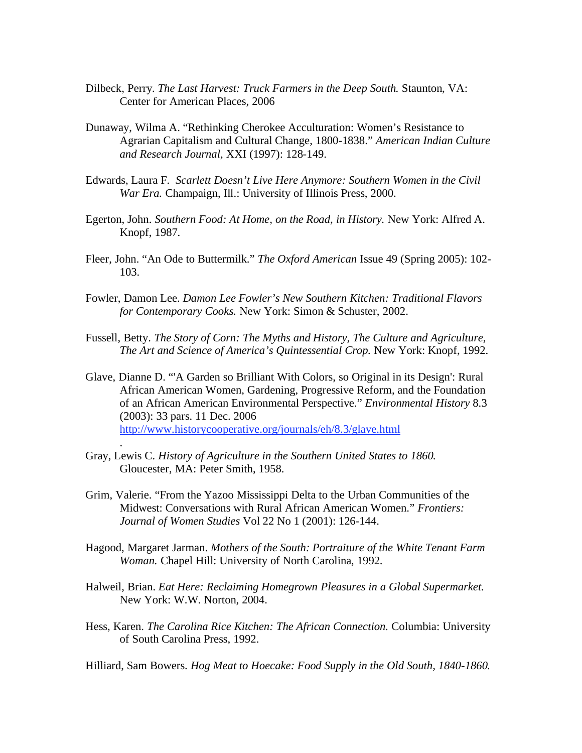- Dilbeck, Perry. *The Last Harvest: Truck Farmers in the Deep South.* Staunton, VA: Center for American Places, 2006
- Dunaway, Wilma A. "Rethinking Cherokee Acculturation: Women's Resistance to Agrarian Capitalism and Cultural Change, 1800-1838." *American Indian Culture and Research Journal,* XXI (1997): 128-149.
- Edwards, Laura F. *Scarlett Doesn't Live Here Anymore: Southern Women in the Civil War Era.* Champaign, Ill.: University of Illinois Press, 2000.
- Egerton, John. *Southern Food: At Home, on the Road, in History.* New York: Alfred A. Knopf, 1987.
- Fleer, John. "An Ode to Buttermilk." *The Oxford American* Issue 49 (Spring 2005): 102- 103.
- Fowler, Damon Lee. *Damon Lee Fowler's New Southern Kitchen: Traditional Flavors for Contemporary Cooks.* New York: Simon & Schuster, 2002.
- Fussell, Betty. *The Story of Corn: The Myths and History, The Culture and Agriculture, The Art and Science of America's Quintessential Crop.* New York: Knopf, 1992.
- Glave, Dianne D. "'A Garden so Brilliant With Colors, so Original in its Design': Rural African American Women, Gardening, Progressive Reform, and the Foundation of an African American Environmental Perspective." *Environmental History* 8.3 (2003): 33 pars. 11 Dec. 2006 http://www.historycooperative.org/journals/eh/8.3/glave.html
- Gray, Lewis C. *History of Agriculture in the Southern United States to 1860.*  Gloucester, MA: Peter Smith, 1958.

.

- Grim, Valerie. "From the Yazoo Mississippi Delta to the Urban Communities of the Midwest: Conversations with Rural African American Women." *Frontiers: Journal of Women Studies* Vol 22 No 1 (2001): 126-144.
- Hagood, Margaret Jarman. *Mothers of the South: Portraiture of the White Tenant Farm Woman.* Chapel Hill: University of North Carolina, 1992.
- Halweil, Brian. *Eat Here: Reclaiming Homegrown Pleasures in a Global Supermarket.*  New York: W.W. Norton, 2004.
- Hess, Karen. *The Carolina Rice Kitchen: The African Connection.* Columbia: University of South Carolina Press, 1992.

Hilliard, Sam Bowers. *Hog Meat to Hoecake: Food Supply in the Old South, 1840-1860.*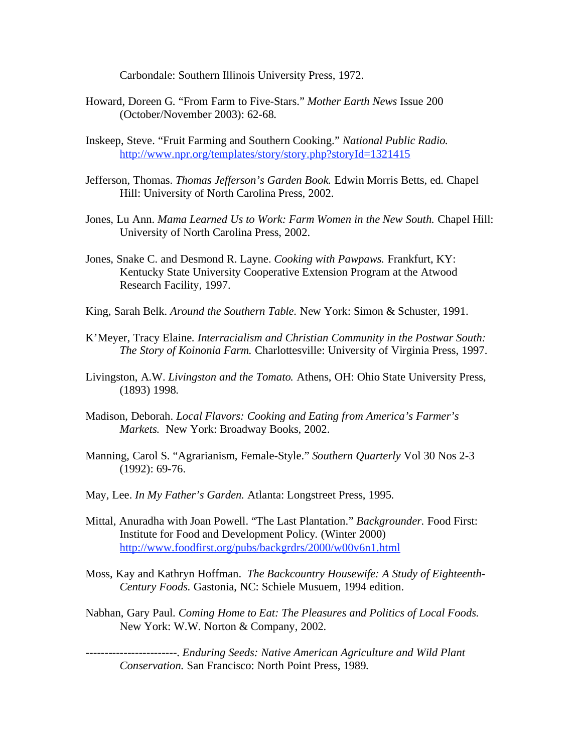Carbondale: Southern Illinois University Press, 1972.

- Howard, Doreen G. "From Farm to Five-Stars." *Mother Earth News* Issue 200 (October/November 2003): 62-68.
- Inskeep, Steve. "Fruit Farming and Southern Cooking." *National Public Radio.*  http://www.npr.org/templates/story/story.php?storyId=1321415
- Jefferson, Thomas. *Thomas Jefferson's Garden Book.* Edwin Morris Betts, ed. Chapel Hill: University of North Carolina Press, 2002.
- Jones, Lu Ann. *Mama Learned Us to Work: Farm Women in the New South.* Chapel Hill: University of North Carolina Press, 2002.
- Jones, Snake C. and Desmond R. Layne. *Cooking with Pawpaws.* Frankfurt, KY: Kentucky State University Cooperative Extension Program at the Atwood Research Facility, 1997.
- King, Sarah Belk. *Around the Southern Table.* New York: Simon & Schuster, 1991.
- K'Meyer, Tracy Elaine. *Interracialism and Christian Community in the Postwar South: The Story of Koinonia Farm.* Charlottesville: University of Virginia Press, 1997.
- Livingston, A.W. *Livingston and the Tomato.* Athens, OH: Ohio State University Press, (1893) 1998.
- Madison, Deborah. *Local Flavors: Cooking and Eating from America's Farmer's Markets.* New York: Broadway Books, 2002.
- Manning, Carol S. "Agrarianism, Female-Style." *Southern Quarterly* Vol 30 Nos 2-3 (1992): 69-76.
- May, Lee. *In My Father's Garden.* Atlanta: Longstreet Press, 1995.
- Mittal, Anuradha with Joan Powell. "The Last Plantation." *Backgrounder.* Food First: Institute for Food and Development Policy*.* (Winter 2000) http://www.foodfirst.org/pubs/backgrdrs/2000/w00v6n1.html
- Moss, Kay and Kathryn Hoffman. *The Backcountry Housewife: A Study of Eighteenth-Century Foods.* Gastonia, NC: Schiele Musuem, 1994 edition.
- Nabhan, Gary Paul. *Coming Home to Eat: The Pleasures and Politics of Local Foods.*  New York: W.W. Norton & Company, 2002.

------------------------. *Enduring Seeds: Native American Agriculture and Wild Plant Conservation.* San Francisco: North Point Press, 1989*.*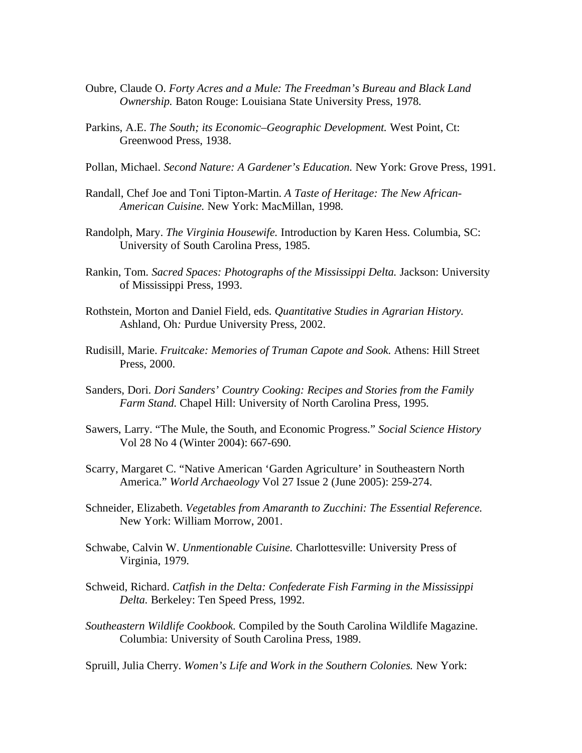- Oubre, Claude O. *Forty Acres and a Mule: The Freedman's Bureau and Black Land Ownership.* Baton Rouge: Louisiana State University Press, 1978.
- Parkins, A.E. *The South; its Economic–Geographic Development.* West Point, Ct: Greenwood Press, 1938.
- Pollan, Michael. *Second Nature: A Gardener's Education.* New York: Grove Press, 1991.
- Randall, Chef Joe and Toni Tipton-Martin. *A Taste of Heritage: The New African-American Cuisine.* New York: MacMillan, 1998.
- Randolph, Mary. *The Virginia Housewife.* Introduction by Karen Hess. Columbia, SC: University of South Carolina Press, 1985.
- Rankin, Tom. *Sacred Spaces: Photographs of the Mississippi Delta.* Jackson: University of Mississippi Press, 1993.
- Rothstein, Morton and Daniel Field, eds. *Quantitative Studies in Agrarian History.*  Ashland, Oh*:* Purdue University Press, 2002.
- Rudisill, Marie. *Fruitcake: Memories of Truman Capote and Sook.* Athens: Hill Street Press, 2000.
- Sanders, Dori. *Dori Sanders' Country Cooking: Recipes and Stories from the Family Farm Stand.* Chapel Hill: University of North Carolina Press, 1995.
- Sawers, Larry. "The Mule, the South, and Economic Progress." *Social Science History*  Vol 28 No 4 (Winter 2004): 667-690.
- Scarry, Margaret C. "Native American 'Garden Agriculture' in Southeastern North America." *World Archaeology* Vol 27 Issue 2 (June 2005): 259-274.
- Schneider, Elizabeth. *Vegetables from Amaranth to Zucchini: The Essential Reference.*  New York: William Morrow, 2001.
- Schwabe, Calvin W. *Unmentionable Cuisine.* Charlottesville: University Press of Virginia, 1979.
- Schweid, Richard. *Catfish in the Delta: Confederate Fish Farming in the Mississippi Delta.* Berkeley: Ten Speed Press, 1992.
- *Southeastern Wildlife Cookbook.* Compiled by the South Carolina Wildlife Magazine. Columbia: University of South Carolina Press, 1989.

Spruill, Julia Cherry. *Women's Life and Work in the Southern Colonies.* New York: